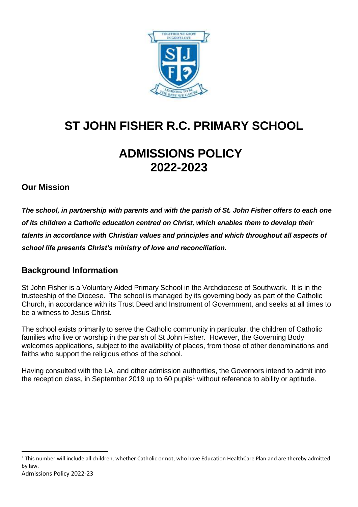

# **ST JOHN FISHER R.C. PRIMARY SCHOOL**

# **ADMISSIONS POLICY 2022-2023**

### **Our Mission**

*The school, in partnership with parents and with the parish of St. John Fisher offers to each one of its children a Catholic education centred on Christ, which enables them to develop their talents in accordance with Christian values and principles and which throughout all aspects of school life presents Christ's ministry of love and reconciliation.*

### **Background Information**

St John Fisher is a Voluntary Aided Primary School in the Archdiocese of Southwark. It is in the trusteeship of the Diocese. The school is managed by its governing body as part of the Catholic Church, in accordance with its Trust Deed and Instrument of Government, and seeks at all times to be a witness to Jesus Christ.

The school exists primarily to serve the Catholic community in particular, the children of Catholic families who live or worship in the parish of St John Fisher. However, the Governing Body welcomes applications, subject to the availability of places, from those of other denominations and faiths who support the religious ethos of the school.

Having consulted with the LA, and other admission authorities, the Governors intend to admit into the reception class, in September 2019 up to 60 pupils<sup>1</sup> without reference to ability or aptitude.

1

 $1$  This number will include all children, whether Catholic or not, who have Education HealthCare Plan and are thereby admitted by law.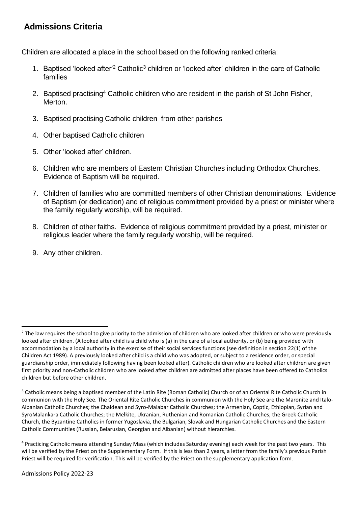## **Admissions Criteria**

Children are allocated a place in the school based on the following ranked criteria:

- 1. Baptised 'looked after'<sup>2</sup> Catholic<sup>3</sup> children or 'looked after' children in the care of Catholic families
- 2. Baptised practising<sup>4</sup> Catholic children who are resident in the parish of St John Fisher, Merton.
- 3. Baptised practising Catholic children from other parishes
- 4. Other baptised Catholic children
- 5. Other 'looked after' children.
- 6. Children who are members of Eastern Christian Churches including Orthodox Churches. Evidence of Baptism will be required.
- 7. Children of families who are committed members of other Christian denominations. Evidence of Baptism (or dedication) and of religious commitment provided by a priest or minister where the family regularly worship, will be required.
- 8. Children of other faiths. Evidence of religious commitment provided by a priest, minister or religious leader where the family regularly worship, will be required.
- 9. Any other children.

 $\overline{a}$ 

<sup>&</sup>lt;sup>2</sup> The law requires the school to give priority to the admission of children who are looked after children or who were previously looked after children. (A looked after child is a child who is (a) in the care of a local authority, or (b) being provided with accommodation by a local authority in the exercise of their social services functions (see definition in section 22(1) of the Children Act 1989). A previously looked after child is a child who was adopted, or subject to a residence order, or special guardianship order, immediately following having been looked after). Catholic children who are looked after children are given first priority and non-Catholic children who are looked after children are admitted after places have been offered to Catholics children but before other children.

<sup>&</sup>lt;sup>3</sup> Catholic means being a baptised member of the Latin Rite (Roman Catholic) Church or of an Oriental Rite Catholic Church in communion with the Holy See. The Oriental Rite Catholic Churches in communion with the Holy See are the Maronite and Italo-Albanian Catholic Churches; the Chaldean and Syro-Malabar Catholic Churches; the Armenian, Coptic, Ethiopian, Syrian and SyroMalankara Catholic Churches; the Melkite, Ukranian, Ruthenian and Romanian Catholic Churches; the Greek Catholic Church, the Byzantine Catholics in former Yugoslavia, the Bulgarian, Slovak and Hungarian Catholic Churches and the Eastern Catholic Communities (Russian, Belarusian, Georgian and Albanian) without hierarchies.

<sup>4</sup> Practicing Catholic means attending Sunday Mass (which includes Saturday evening) each week for the past two years. This will be verified by the Priest on the Supplementary Form. If this is less than 2 years, a letter from the family's previous Parish Priest will be required for verification. This will be verified by the Priest on the supplementary application form.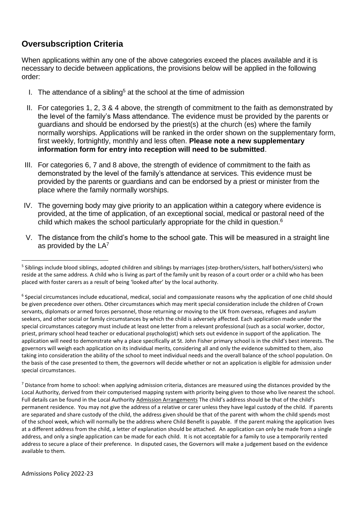## **Oversubscription Criteria**

When applications within any one of the above categories exceed the places available and it is necessary to decide between applications, the provisions below will be applied in the following order:

- I. The attendance of a sibling<sup>5</sup> at the school at the time of admission
- II. For categories 1, 2, 3 & 4 above, the strength of commitment to the faith as demonstrated by the level of the family's Mass attendance. The evidence must be provided by the parents or guardians and should be endorsed by the priest(s) at the church (es) where the family normally worships. Applications will be ranked in the order shown on the supplementary form, first weekly, fortnightly, monthly and less often. **Please note a new supplementary information form for entry into reception will need to be submitted**.
- III. For categories 6, 7 and 8 above, the strength of evidence of commitment to the faith as demonstrated by the level of the family's attendance at services. This evidence must be provided by the parents or guardians and can be endorsed by a priest or minister from the place where the family normally worships.
- IV. The governing body may give priority to an application within a category where evidence is provided, at the time of application, of an exceptional social, medical or pastoral need of the child which makes the school particularly appropriate for the child in question.<sup>6</sup>
- V. The distance from the child's home to the school gate. This will be measured in a straight line as provided by the LA<sup>7</sup>

 $\overline{a}$ 

<sup>&</sup>lt;sup>5</sup> Siblings include blood siblings, adopted children and siblings by marriages (step-brothers/sisters, half bothers/sisters) who reside at the same address. A child who is living as part of the family unit by reason of a court order or a child who has been placed with foster carers as a result of being 'looked after' by the local authority.

<sup>&</sup>lt;sup>6</sup> Special circumstances include educational, medical, social and compassionate reasons why the application of one child should be given precedence over others. Other circumstances which may merit special consideration include the children of Crown servants, diplomats or armed forces personnel, those returning or moving to the UK from overseas, refugees and asylum seekers, and other social or family circumstances by which the child is adversely affected. Each application made under the special circumstances category must include at least one letter from a relevant professional (such as a social worker, doctor, priest, primary school head teacher or educational psychologist) which sets out evidence in support of the application. The application will need to demonstrate why a place specifically at St. John Fisher primary school is in the child's best interests. The governors will weigh each application on its individual merits, considering all and only the evidence submitted to them, also taking into consideration the ability of the school to meet individual needs and the overall balance of the school population. On the basis of the case presented to them, the governors will decide whether or not an application is eligible for admission under special circumstances.

<sup>&</sup>lt;sup>7</sup> Distance from home to school: when applying admission criteria, distances are measured using the distances provided by the Local Authority, derived from their computerised mapping system with priority being given to those who live nearest the school. Full details can be found in the Local Authority Admission Arrangements The child's address should be that of the child's permanent residence. You may not give the address of a relative or carer unless they have legal custody of the child. If parents are separated and share custody of the child, the address given should be that of the parent with whom the child spends most of the school week, which will normally be the address where Child Benefit is payable. If the parent making the application lives at a different address from the child, a letter of explanation should be attached. An application can only be made from a single address, and only a single application can be made for each child. It is not acceptable for a family to use a temporarily rented address to secure a place of their preference. In disputed cases, the Governors will make a judgement based on the evidence available to them.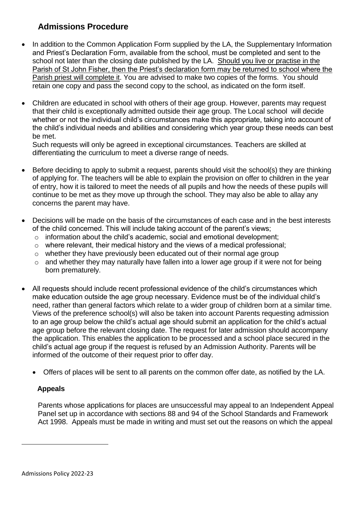# **Admissions Procedure**

- In addition to the Common Application Form supplied by the LA, the Supplementary Information and Priest's Declaration Form, available from the school, must be completed and sent to the school not later than the closing date published by the LA. Should you live or practise in the Parish of St John Fisher, then the Priest's declaration form may be returned to school where the Parish priest will complete it. You are advised to make two copies of the forms. You should retain one copy and pass the second copy to the school, as indicated on the form itself.
- Children are educated in school with others of their age group. However, parents may request that their child is exceptionally admitted outside their age group. The Local school will decide whether or not the individual child's circumstances make this appropriate, taking into account of the child's individual needs and abilities and considering which year group these needs can best be met.

Such requests will only be agreed in exceptional circumstances. Teachers are skilled at differentiating the curriculum to meet a diverse range of needs.

- Before deciding to apply to submit a request, parents should visit the school(s) they are thinking of applying for. The teachers will be able to explain the provision on offer to children in the year of entry, how it is tailored to meet the needs of all pupils and how the needs of these pupils will continue to be met as they move up through the school. They may also be able to allay any concerns the parent may have.
- Decisions will be made on the basis of the circumstances of each case and in the best interests of the child concerned. This will include taking account of the parent's views;
	- o information about the child's academic, social and emotional development;
	- o where relevant, their medical history and the views of a medical professional;
	- o whether they have previously been educated out of their normal age group
	- $\circ$  and whether they may naturally have fallen into a lower age group if it were not for being born prematurely.
- All requests should include recent professional evidence of the child's circumstances which make education outside the age group necessary. Evidence must be of the individual child's need, rather than general factors which relate to a wider group of children born at a similar time. Views of the preference school(s) will also be taken into account Parents requesting admission to an age group below the child's actual age should submit an application for the child's actual age group before the relevant closing date. The request for later admission should accompany the application. This enables the application to be processed and a school place secured in the child's actual age group if the request is refused by an Admission Authority. Parents will be informed of the outcome of their request prior to offer day.
	- Offers of places will be sent to all parents on the common offer date, as notified by the LA.

#### **Appeals**

**.** 

Parents whose applications for places are unsuccessful may appeal to an Independent Appeal Panel set up in accordance with sections 88 and 94 of the School Standards and Framework Act 1998. Appeals must be made in writing and must set out the reasons on which the appeal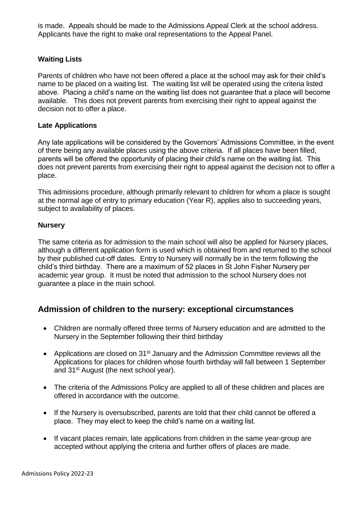is made. Appeals should be made to the Admissions Appeal Clerk at the school address. Applicants have the right to make oral representations to the Appeal Panel.

#### **Waiting Lists**

Parents of children who have not been offered a place at the school may ask for their child's name to be placed on a waiting list. The waiting list will be operated using the criteria listed above. Placing a child's name on the waiting list does not guarantee that a place will become available. This does not prevent parents from exercising their right to appeal against the decision not to offer a place.

#### **Late Applications**

Any late applications will be considered by the Governors' Admissions Committee, in the event of there being any available places using the above criteria. If all places have been filled, parents will be offered the opportunity of placing their child's name on the waiting list. This does not prevent parents from exercising their right to appeal against the decision not to offer a place.

This admissions procedure, although primarily relevant to children for whom a place is sought at the normal age of entry to primary education (Year R), applies also to succeeding years, subject to availability of places.

#### **Nursery**

The same criteria as for admission to the main school will also be applied for Nursery places, although a different application form is used which is obtained from and returned to the school by their published cut-off dates. Entry to Nursery will normally be in the term following the child's third birthday. There are a maximum of 52 places in St John Fisher Nursery per academic year group. It must be noted that admission to the school Nursery does not guarantee a place in the main school.

#### **Admission of children to the nursery: exceptional circumstances**

- Children are normally offered three terms of Nursery education and are admitted to the Nursery in the September following their third birthday
- Applications are closed on 31<sup>st</sup> January and the Admission Committee reviews all the Applications for places for children whose fourth birthday will fall between 1 September and 31st August (the next school year).
- The criteria of the Admissions Policy are applied to all of these children and places are offered in accordance with the outcome.
- If the Nursery is oversubscribed, parents are told that their child cannot be offered a place. They may elect to keep the child's name on a waiting list.
- If vacant places remain, late applications from children in the same vear-group are accepted without applying the criteria and further offers of places are made.